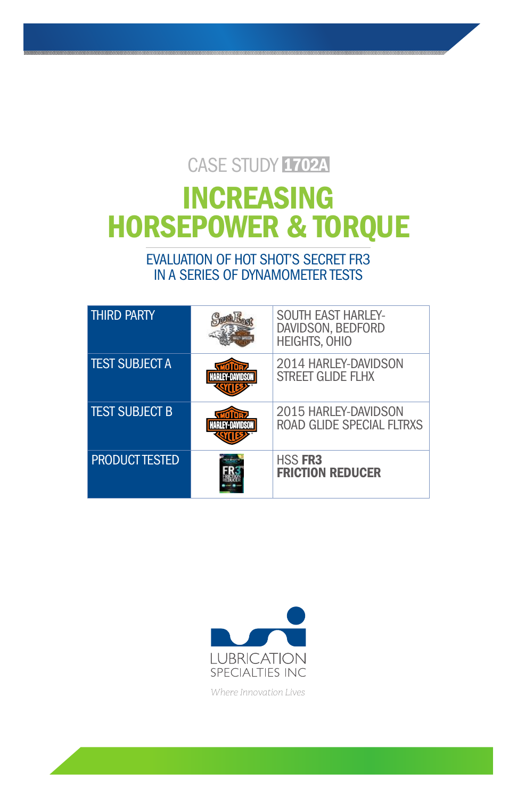## CASE STUDY 1702A

# INCREASING HORSEPOWER & TORQUE

EVALUATION OF HOT SHOT'S SECRET FR3 IN A SERIES OF DYNAMOMETER TESTS

| <b>THIRD PARTY</b>    | <b>SOUTH EAST HARLEY-</b><br>DAVIDSON, BEDFORD<br><b>HEIGHTS, OHIO</b> |
|-----------------------|------------------------------------------------------------------------|
| <b>TEST SUBJECT A</b> | 2014 HARLEY-DAVIDSON<br>STREET GLIDE FLHX                              |
| <b>TEST SUBJECT B</b> | 2015 HARLEY-DAVIDSON<br>ROAD GLIDE SPECIAL FLTRXS                      |
| <b>PRODUCT TESTED</b> | <b>HSS FR3</b><br><b>FRICTION REDUCER</b>                              |



*Where Innovation Lives*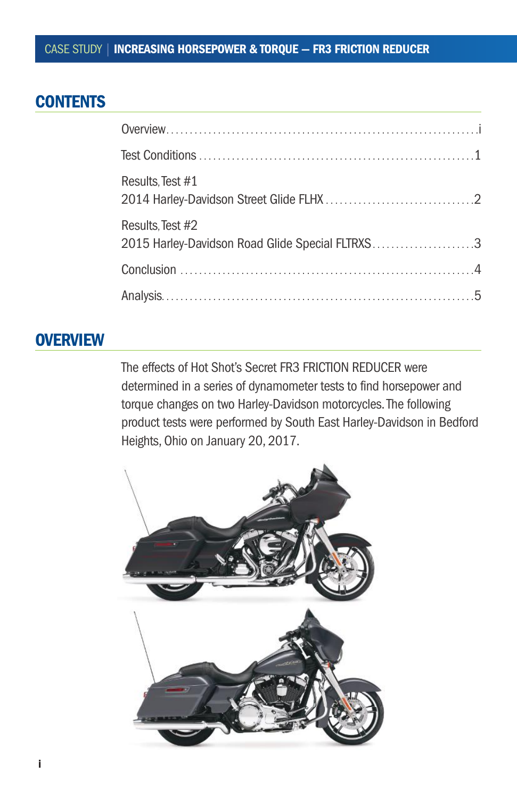## **CONTENTS**

| Results, Test #1                                                    |  |
|---------------------------------------------------------------------|--|
| Results, Test #2<br>2015 Harley-Davidson Road Glide Special FLTRXS3 |  |
|                                                                     |  |
|                                                                     |  |

## **OVERVIEW**

The effects of Hot Shot's Secret FR3 FRICTION REDUCER were determined in a series of dynamometer tests to find horsepower and torque changes on two Harley-Davidson motorcycles. The following product tests were performed by South East Harley-Davidson in Bedford Heights, Ohio on January 20, 2017.

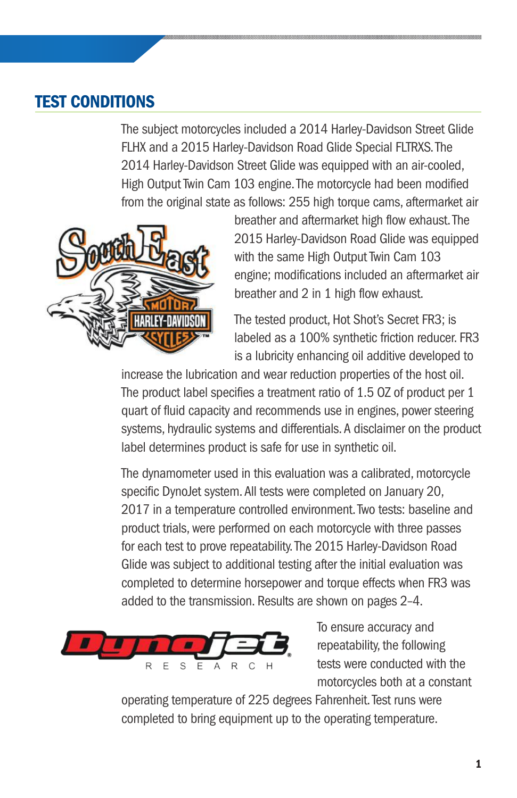## TEST CONDITIONS

The subject motorcycles included a 2014 Harley-Davidson Street Glide FLHX and a 2015 Harley-Davidson Road Glide Special FLTRXS. The 2014 Harley-Davidson Street Glide was equipped with an air-cooled, High Output Twin Cam 103 engine. The motorcycle had been modified from the original state as follows: 255 high torque cams, aftermarket air



breather and aftermarket high flow exhaust. The 2015 Harley-Davidson Road Glide was equipped with the same High Output Twin Cam 103 engine; modifications included an aftermarket air breather and 2 in 1 high flow exhaust.

The tested product, Hot Shot's Secret FR3; is labeled as a 100% synthetic friction reducer. FR3 is a lubricity enhancing oil additive developed to

increase the lubrication and wear reduction properties of the host oil. The product label specifies a treatment ratio of 1.5 OZ of product per 1 quart of fluid capacity and recommends use in engines, power steering systems, hydraulic systems and differentials. A disclaimer on the product label determines product is safe for use in synthetic oil.

The dynamometer used in this evaluation was a calibrated, motorcycle specific DynoJet system. All tests were completed on January 20, 2017 in a temperature controlled environment. Two tests: baseline and product trials, were performed on each motorcycle with three passes for each test to prove repeatability. The 2015 Harley-Davidson Road Glide was subject to additional testing after the initial evaluation was completed to determine horsepower and torque effects when FR3 was added to the transmission. Results are shown on pages 2–4.



To ensure accuracy and repeatability, the following tests were conducted with the motorcycles both at a constant

operating temperature of 225 degrees Fahrenheit. Test runs were completed to bring equipment up to the operating temperature.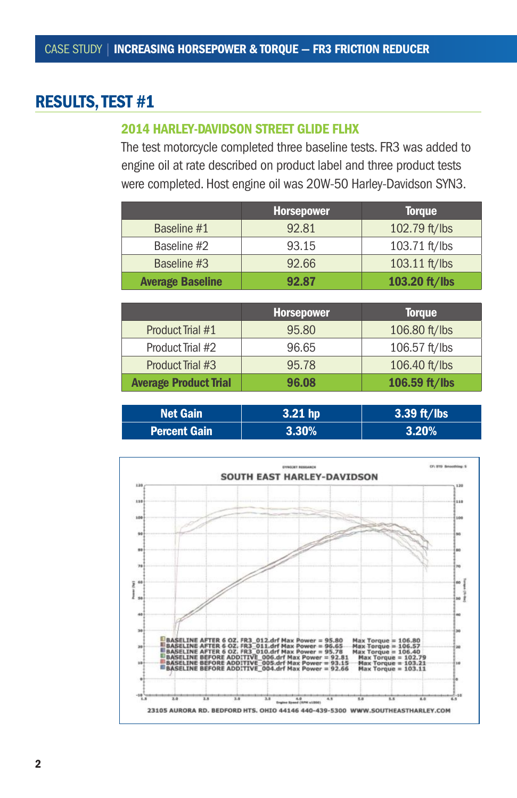## RESULTS, TEST #1

#### 2014 HARLEY-DAVIDSON STREET GLIDE FLHX

The test motorcycle completed three baseline tests. FR3 was added to engine oil at rate described on product label and three product tests were completed. Host engine oil was 20W-50 Harley-Davidson SYN3.

|                         | <b>Horsepower</b> | <b>Torque</b>   |
|-------------------------|-------------------|-----------------|
| Baseline #1             | 92.81             | 102.79 ft/lbs   |
| Baseline #2             | 93.15             | 103.71 ft/lbs   |
| Baseline #3             | 92.66             | $103.11$ ft/lbs |
| <b>Average Baseline</b> | 92.87             | 103.20 ft/lbs   |

|                              | <b>Horsepower</b> | <b>Torque</b> |
|------------------------------|-------------------|---------------|
| Product Trial #1             | 95.80             | 106.80 ft/lbs |
| Product Trial #2             | 96.65             | 106.57 ft/lbs |
| Product Trial #3             | 95.78             | 106.40 ft/lbs |
| <b>Average Product Trial</b> | 96.08             | 106.59 ft/lbs |

| <b>Net Gain</b>     | $3.21$ hp | $3.39$ ft/lbs |
|---------------------|-----------|---------------|
| <b>Percent Gain</b> | $73.30\%$ | 3.20%         |

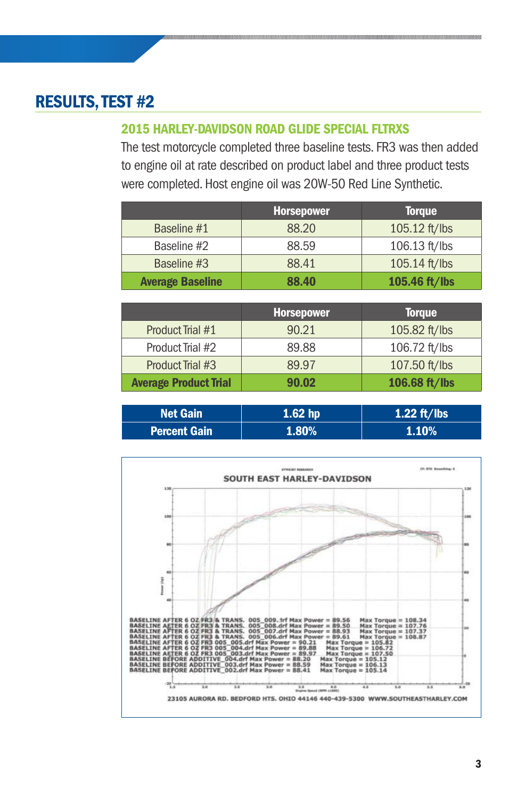## RESULTS, TEST #2

#### 2015 HARLEY-DAVIDSON ROAD GLIDE SPECIAL FLTRXS

The test motorcycle completed three baseline tests. FR3 was then added to engine oil at rate described on product label and three product tests were completed. Host engine oil was 20W-50 Red Line Synthetic.

|                         | <b>Horsepower</b> | <b>Torque</b>   |
|-------------------------|-------------------|-----------------|
| Baseline #1             | 88.20             | $105.12$ ft/lbs |
| Baseline #2             | 88.59             | $106.13$ ft/lbs |
| Baseline #3             | 88.41             | $105.14$ ft/lbs |
| <b>Average Baseline</b> | 88.40             | 105.46 ft/lbs   |

|                              | <b>Horsepower</b> | <b>Torque</b> |
|------------------------------|-------------------|---------------|
| Product Trial #1             | 90.21             | 105.82 ft/lbs |
| Product Trial #2             | 89.88             | 106.72 ft/lbs |
| Product Trial #3             | 89.97             | 107.50 ft/lbs |
| <b>Average Product Trial</b> | 90.02             | 106.68 ft/lbs |

| <b>Net Gain</b>     | $1.62$ hp | 1.22 ft/lbs |
|---------------------|-----------|-------------|
| <b>Percent Gain</b> | 1.80%     | $1.10\%$    |

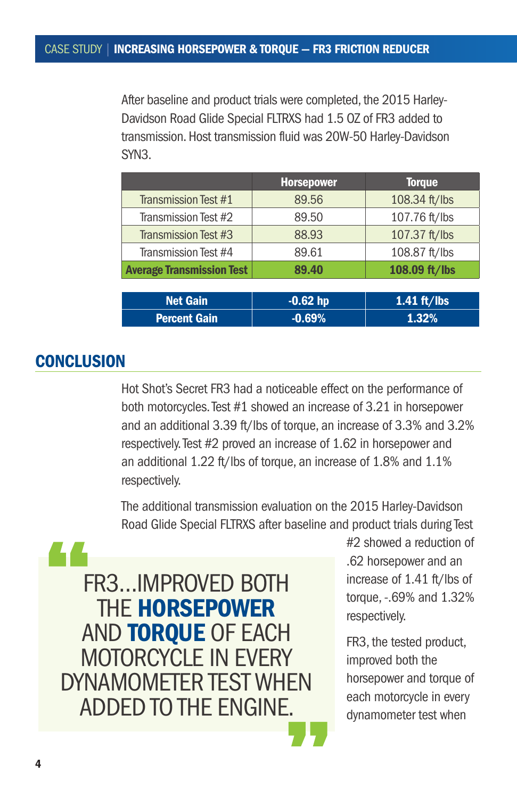After baseline and product trials were completed, the 2015 Harley-Davidson Road Glide Special FLTRXS had 1.5 OZ of FR3 added to transmission. Host transmission fluid was 20W-50 Harley-Davidson SYN3.

|                                  | <b>Horsepower</b> | <b>Torque</b> |
|----------------------------------|-------------------|---------------|
| Transmission Test #1             | 89.56             | 108.34 ft/lbs |
| Transmission Test #2             | 89.50             | 107.76 ft/lbs |
| <b>Transmission Test #3</b>      | 88.93             | 107.37 ft/lbs |
| Transmission Test #4             | 89.61             | 108.87 ft/lbs |
| <b>Average Transmission Test</b> | 89.40             | 108.09 ft/lbs |
|                                  |                   |               |
| <b>Net Gain</b>                  | $-0.62$ hp        | $1.41$ ft/lbs |
| <b>Percent Gain</b>              | $-0.69%$          | 1.32%         |

## **CONCLUSION**

Hot Shot's Secret FR3 had a noticeable effect on the performance of both motorcycles. Test #1 showed an increase of 3.21 in horsepower and an additional 3.39 ft/lbs of torque, an increase of 3.3% and 3.2% respectively. Test #2 proved an increase of 1.62 in horsepower and an additional 1.22 ft/lbs of torque, an increase of 1.8% and 1.1% respectively.

The additional transmission evaluation on the 2015 Harley-Davidson Road Glide Special FLTRXS after baseline and product trials during Test



#2 showed a reduction of .62 horsepower and an increase of 1.41 ft/lbs of torque, -.69% and 1.32% respectively.

FR3, the tested product, improved both the horsepower and torque of each motorcycle in every dynamometer test when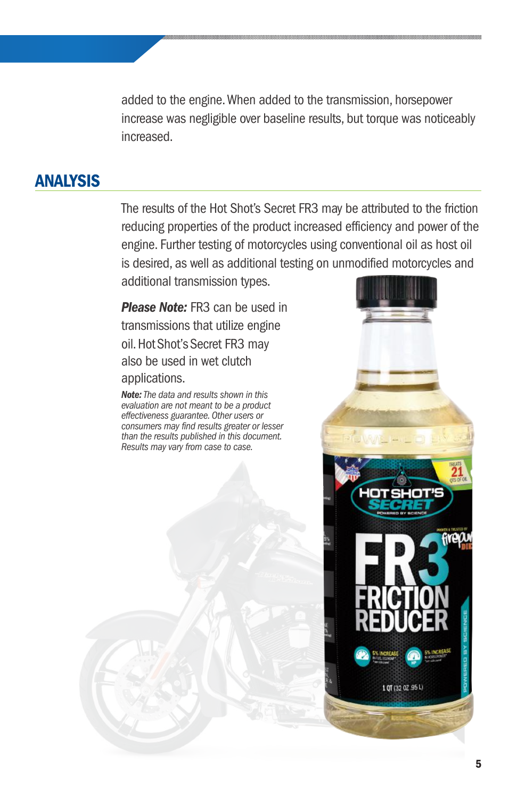added to the engine.When added to the transmission, horsepower increase was negligible over baseline results, but torque was noticeably increased.

## ANALYSIS

The results of the Hot Shot's Secret FR3 may be attributed to the friction reducing properties of the product increased efficiency and power of the engine. Further testing of motorcycles using conventional oil as host oil is desired, as well as additional testing on unmodified motorcycles and additional transmission types.

*Please Note:* FR3 can be used in transmissions that utilize engine oil. Hot Shot's Secret FR3 may also be used in wet clutch applications.

*Note:The data and results shown in this evaluation are not meant to be a product effectiveness guarantee. Other users or consumers may find results greater or lesser than the results published in this document. Results may vary from case to case.*